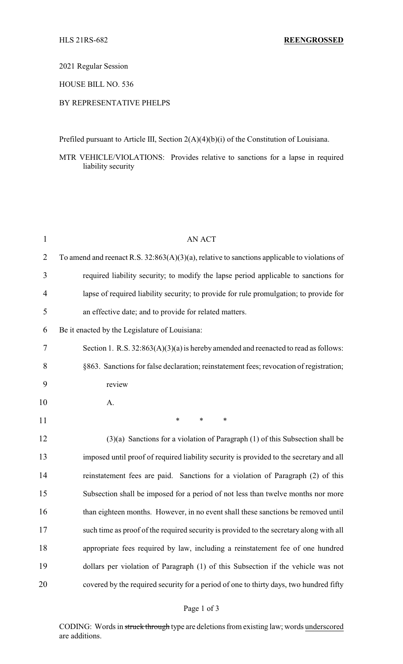2021 Regular Session

HOUSE BILL NO. 536

## BY REPRESENTATIVE PHELPS

Prefiled pursuant to Article III, Section 2(A)(4)(b)(i) of the Constitution of Louisiana.

MTR VEHICLE/VIOLATIONS: Provides relative to sanctions for a lapse in required liability security

| $\mathbf{1}$   | <b>AN ACT</b>                                                                                   |  |  |
|----------------|-------------------------------------------------------------------------------------------------|--|--|
| $\overline{2}$ | To amend and reenact R.S. $32:863(A)(3)(a)$ , relative to sanctions applicable to violations of |  |  |
| 3              | required liability security; to modify the lapse period applicable to sanctions for             |  |  |
| 4              | lapse of required liability security; to provide for rule promulgation; to provide for          |  |  |
| 5              | an effective date; and to provide for related matters.                                          |  |  |
| 6              | Be it enacted by the Legislature of Louisiana:                                                  |  |  |
| 7              | Section 1. R.S. $32:863(A)(3)(a)$ is hereby amended and reenacted to read as follows:           |  |  |
| 8              | §863. Sanctions for false declaration; reinstatement fees; revocation of registration;          |  |  |
| 9              | review                                                                                          |  |  |
| 10             | A.                                                                                              |  |  |
| 11             | $\ast$<br>∗<br>∗                                                                                |  |  |
| 12             | $(3)(a)$ Sanctions for a violation of Paragraph $(1)$ of this Subsection shall be               |  |  |
| 13             | imposed until proof of required liability security is provided to the secretary and all         |  |  |
| 14             | reinstatement fees are paid. Sanctions for a violation of Paragraph (2) of this                 |  |  |
| 15             | Subsection shall be imposed for a period of not less than twelve months nor more                |  |  |
| 16             | than eighteen months. However, in no event shall these sanctions be removed until               |  |  |
| 17             | such time as proof of the required security is provided to the secretary along with all         |  |  |
| 18             | appropriate fees required by law, including a reinstatement fee of one hundred                  |  |  |
| 19             | dollars per violation of Paragraph (1) of this Subsection if the vehicle was not                |  |  |
| 20             | covered by the required security for a period of one to thirty days, two hundred fifty          |  |  |

## Page 1 of 3

CODING: Words in struck through type are deletions from existing law; words underscored are additions.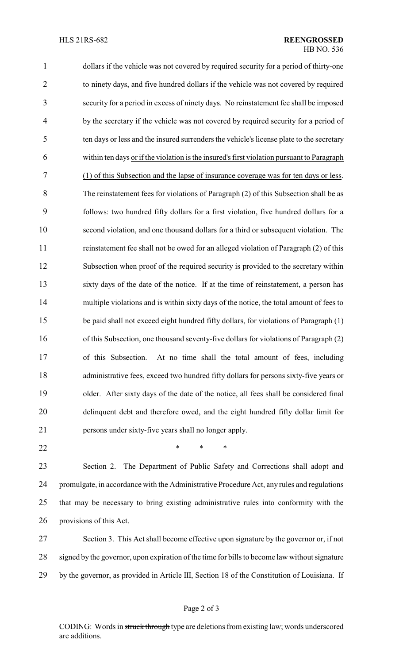dollars if the vehicle was not covered by required security for a period of thirty-one to ninety days, and five hundred dollars if the vehicle was not covered by required security for a period in excess of ninety days. No reinstatement fee shall be imposed by the secretary if the vehicle was not covered by required security for a period of ten days or less and the insured surrenders the vehicle's license plate to the secretary within ten days or if the violation is the insured's first violation pursuant to Paragraph (1) of this Subsection and the lapse of insurance coverage was for ten days or less. The reinstatement fees for violations of Paragraph (2) of this Subsection shall be as follows: two hundred fifty dollars for a first violation, five hundred dollars for a second violation, and one thousand dollars for a third or subsequent violation. The reinstatement fee shall not be owed for an alleged violation of Paragraph (2) of this Subsection when proof of the required security is provided to the secretary within sixty days of the date of the notice. If at the time of reinstatement, a person has 14 multiple violations and is within sixty days of the notice, the total amount of fees to be paid shall not exceed eight hundred fifty dollars, for violations of Paragraph (1) of this Subsection, one thousand seventy-five dollars for violations of Paragraph (2) of this Subsection. At no time shall the total amount of fees, including administrative fees, exceed two hundred fifty dollars for persons sixty-five years or older. After sixty days of the date of the notice, all fees shall be considered final delinquent debt and therefore owed, and the eight hundred fifty dollar limit for persons under sixty-five years shall no longer apply.

**\*** \* \* \*

 Section 2. The Department of Public Safety and Corrections shall adopt and promulgate, in accordance with the Administrative Procedure Act, any rules and regulations that may be necessary to bring existing administrative rules into conformity with the provisions of this Act.

 Section 3. This Act shall become effective upon signature by the governor or, if not signed by the governor, upon expiration of the time for bills to become law without signature by the governor, as provided in Article III, Section 18 of the Constitution of Louisiana. If

CODING: Words in struck through type are deletions from existing law; words underscored are additions.